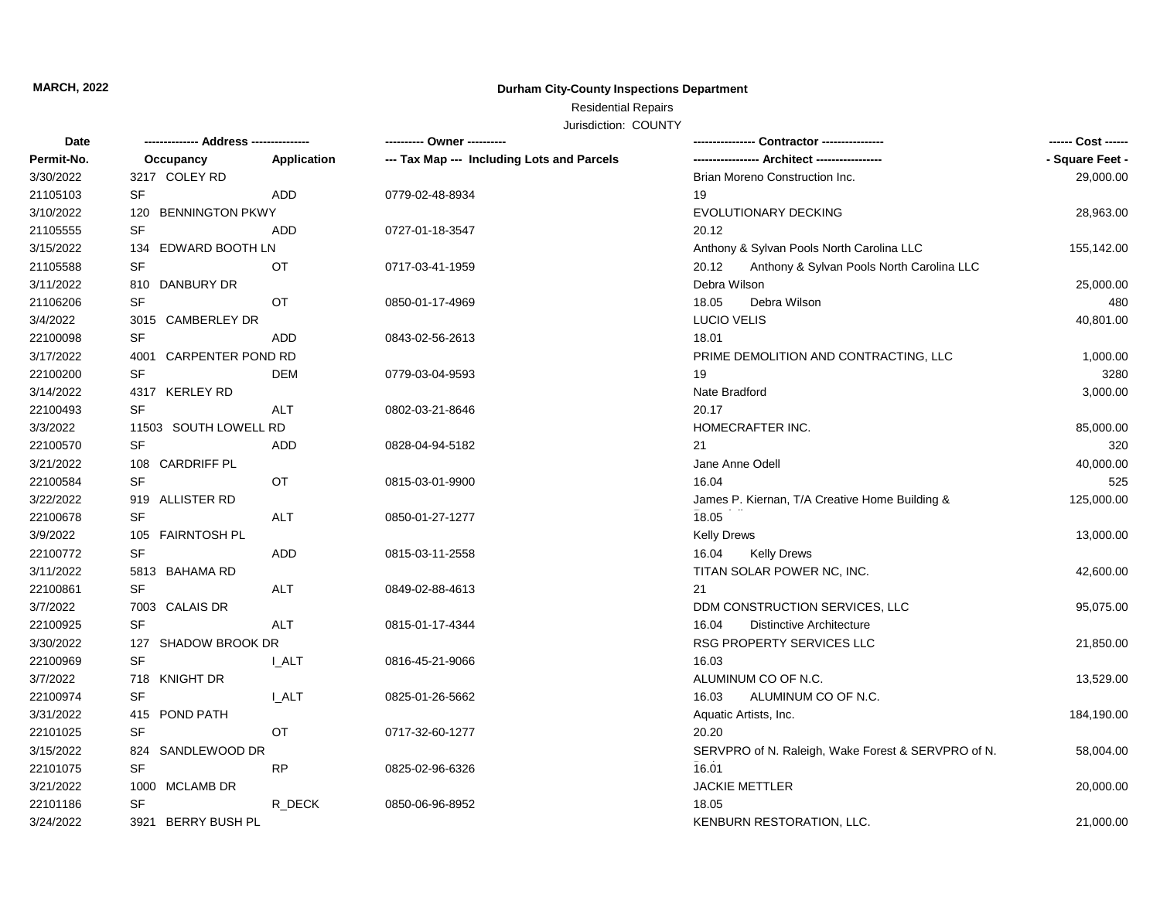### **MARCH, 2022**

## **Durham City-County Inspections Department**

# Residential Repairs

Jurisdiction: COUNTY

| Date       |                        |             | ---------- Owner ----------                |                                                    |                 |
|------------|------------------------|-------------|--------------------------------------------|----------------------------------------------------|-----------------|
| Permit-No. | Occupancy              | Application | --- Tax Map --- Including Lots and Parcels |                                                    | - Square Feet - |
| 3/30/2022  | 3217 COLEY RD          |             |                                            | Brian Moreno Construction Inc.                     | 29,000.00       |
| 21105103   | SF                     | ADD         | 0779-02-48-8934                            | 19                                                 |                 |
| 3/10/2022  | 120 BENNINGTON PKWY    |             |                                            | EVOLUTIONARY DECKING                               | 28,963.00       |
| 21105555   | <b>SF</b>              | <b>ADD</b>  | 0727-01-18-3547                            | 20.12                                              |                 |
| 3/15/2022  | 134 EDWARD BOOTH LN    |             |                                            | Anthony & Sylvan Pools North Carolina LLC          | 155,142.00      |
| 21105588   | SF                     | OT          | 0717-03-41-1959                            | 20.12<br>Anthony & Sylvan Pools North Carolina LLC |                 |
| 3/11/2022  | 810 DANBURY DR         |             |                                            | Debra Wilson                                       | 25,000.00       |
| 21106206   | SF                     | <b>OT</b>   | 0850-01-17-4969                            | 18.05<br>Debra Wilson                              | 480             |
| 3/4/2022   | 3015 CAMBERLEY DR      |             |                                            | <b>LUCIO VELIS</b>                                 | 40,801.00       |
| 22100098   | <b>SF</b>              | <b>ADD</b>  | 0843-02-56-2613                            | 18.01                                              |                 |
| 3/17/2022  | 4001 CARPENTER POND RD |             |                                            | PRIME DEMOLITION AND CONTRACTING, LLC              | 1,000.00        |
| 22100200   | SF                     | <b>DEM</b>  | 0779-03-04-9593                            | 19                                                 | 3280            |
| 3/14/2022  | 4317 KERLEY RD         |             |                                            | Nate Bradford                                      | 3,000.00        |
| 22100493   | <b>SF</b>              | <b>ALT</b>  | 0802-03-21-8646                            | 20.17                                              |                 |
| 3/3/2022   | 11503 SOUTH LOWELL RD  |             |                                            | HOMECRAFTER INC.                                   | 85,000.00       |
| 22100570   | <b>SF</b>              | ADD         | 0828-04-94-5182                            | 21                                                 | 320             |
| 3/21/2022  | 108 CARDRIFF PL        |             |                                            | Jane Anne Odell                                    | 40,000.00       |
| 22100584   | <b>SF</b>              | OT          | 0815-03-01-9900                            | 16.04                                              | 525             |
| 3/22/2022  | 919 ALLISTER RD        |             |                                            | James P. Kiernan, T/A Creative Home Building &     | 125,000.00      |
| 22100678   | <b>SF</b>              | ALT         | 0850-01-27-1277                            | 18.05                                              |                 |
| 3/9/2022   | 105 FAIRNTOSH PL       |             |                                            | <b>Kelly Drews</b>                                 | 13,000.00       |
| 22100772   | <b>SF</b>              | <b>ADD</b>  | 0815-03-11-2558                            | 16.04<br><b>Kelly Drews</b>                        |                 |
| 3/11/2022  | 5813 BAHAMA RD         |             |                                            | TITAN SOLAR POWER NC, INC.                         | 42,600.00       |
| 22100861   | <b>SF</b>              | <b>ALT</b>  | 0849-02-88-4613                            | 21                                                 |                 |
| 3/7/2022   | 7003 CALAIS DR         |             |                                            | DDM CONSTRUCTION SERVICES, LLC                     | 95,075.00       |
| 22100925   | <b>SF</b>              | ALT         | 0815-01-17-4344                            | 16.04<br><b>Distinctive Architecture</b>           |                 |
| 3/30/2022  | 127 SHADOW BROOK DR    |             |                                            | RSG PROPERTY SERVICES LLC                          | 21,850.00       |
| 22100969   | <b>SF</b>              | I ALT       | 0816-45-21-9066                            | 16.03                                              |                 |
| 3/7/2022   | 718 KNIGHT DR          |             |                                            | ALUMINUM CO OF N.C.                                | 13,529.00       |
| 22100974   | <b>SF</b>              | I ALT       | 0825-01-26-5662                            | ALUMINUM CO OF N.C.<br>16.03                       |                 |
| 3/31/2022  | 415 POND PATH          |             |                                            | Aquatic Artists, Inc.                              | 184,190.00      |
| 22101025   | <b>SF</b>              | <b>OT</b>   | 0717-32-60-1277                            | 20.20                                              |                 |
| 3/15/2022  | 824 SANDLEWOOD DR      |             |                                            | SERVPRO of N. Raleigh, Wake Forest & SERVPRO of N. | 58,004.00       |
| 22101075   | <b>SF</b>              | <b>RP</b>   | 0825-02-96-6326                            | 16.01                                              |                 |
| 3/21/2022  | 1000 MCLAMB DR         |             |                                            | <b>JACKIE METTLER</b>                              | 20,000.00       |
| 22101186   | <b>SF</b>              | R_DECK      | 0850-06-96-8952                            | 18.05                                              |                 |
| 3/24/2022  | 3921 BERRY BUSH PL     |             |                                            | KENBURN RESTORATION, LLC.                          | 21,000.00       |